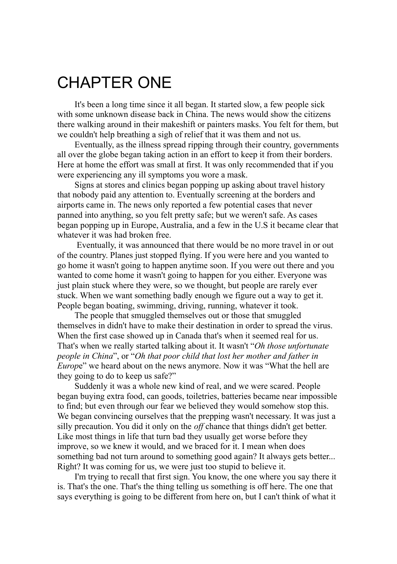## CHAPTER ONE

It's been a long time since it all began. It started slow, a few people sick with some unknown disease back in China. The news would show the citizens there walking around in their makeshift or painters masks. You felt for them, but we couldn't help breathing a sigh of relief that it was them and not us.

Eventually, as the illness spread ripping through their country, governments all over the globe began taking action in an effort to keep it from their borders. Here at home the effort was small at first. It was only recommended that if you were experiencing any ill symptoms you wore a mask.

Signs at stores and clinics began popping up asking about travel history that nobody paid any attention to. Eventually screening at the borders and airports came in. The news only reported a few potential cases that never panned into anything, so you felt pretty safe; but we weren't safe. As cases began popping up in Europe, Australia, and a few in the U.S it became clear that whatever it was had broken free.

Eventually, it was announced that there would be no more travel in or out of the country. Planes just stopped flying. If you were here and you wanted to go home it wasn't going to happen anytime soon. If you were out there and you wanted to come home it wasn't going to happen for you either. Everyone was just plain stuck where they were, so we thought, but people are rarely ever stuck. When we want something badly enough we figure out a way to get it. People began boating, swimming, driving, running, whatever it took.

The people that smuggled themselves out or those that smuggled themselves in didn't have to make their destination in order to spread the virus. When the first case showed up in Canada that's when it seemed real for us. That's when we really started talking about it. It wasn't "*Oh those unfortunate people in China*", or "*Oh that poor child that lost her mother and father in Europe*" we heard about on the news anymore. Now it was "What the hell are they going to do to keep us safe?"

Suddenly it was a whole new kind of real, and we were scared. People began buying extra food, can goods, toiletries, batteries became near impossible to find; but even through our fear we believed they would somehow stop this. We began convincing ourselves that the prepping wasn't necessary. It was just a silly precaution. You did it only on the *of* chance that things didn't get better. Like most things in life that turn bad they usually get worse before they improve, so we knew it would, and we braced for it. I mean when does something bad not turn around to something good again? It always gets better... Right? It was coming for us, we were just too stupid to believe it.

I'm trying to recall that first sign. You know, the one where you say there it is. That's the one. That's the thing telling us something is off here. The one that says everything is going to be different from here on, but I can't think of what it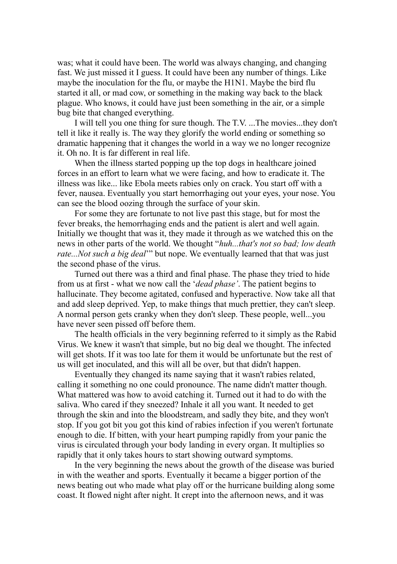was; what it could have been. The world was always changing, and changing fast. We just missed it I guess. It could have been any number of things. Like maybe the inoculation for the flu, or maybe the H1N1. Maybe the bird flu started it all, or mad cow, or something in the making way back to the black plague. Who knows, it could have just been something in the air, or a simple bug bite that changed everything.

I will tell you one thing for sure though. The T.V. ...The movies...they don't tell it like it really is. The way they glorify the world ending or something so dramatic happening that it changes the world in a way we no longer recognize it. Oh no. It is far different in real life.

When the illness started popping up the top dogs in healthcare joined forces in an effort to learn what we were facing, and how to eradicate it. The illness was like... like Ebola meets rabies only on crack. You start off with a fever, nausea. Eventually you start hemorrhaging out your eyes, your nose. You can see the blood oozing through the surface of your skin.

For some they are fortunate to not live past this stage, but for most the fever breaks, the hemorrhaging ends and the patient is alert and well again. Initially we thought that was it, they made it through as we watched this on the news in other parts of the world. We thought "*huh...that's not so bad; low death rate...Not such a big deal*'" but nope. We eventually learned that that was just the second phase of the virus.

Turned out there was a third and final phase. The phase they tried to hide from us at first - what we now call the '*dead phase'*. The patient begins to hallucinate. They become agitated, confused and hyperactive. Now take all that and add sleep deprived. Yep, to make things that much prettier, they can't sleep. A normal person gets cranky when they don't sleep. These people, well...you have never seen pissed off before them.

The health officials in the very beginning referred to it simply as the Rabid Virus. We knew it wasn't that simple, but no big deal we thought. The infected will get shots. If it was too late for them it would be unfortunate but the rest of us will get inoculated, and this will all be over, but that didn't happen.

Eventually they changed its name saying that it wasn't rabies related, calling it something no one could pronounce. The name didn't matter though. What mattered was how to avoid catching it. Turned out it had to do with the saliva. Who cared if they sneezed? Inhale it all you want. It needed to get through the skin and into the bloodstream, and sadly they bite, and they won't stop. If you got bit you got this kind of rabies infection if you weren't fortunate enough to die. If bitten, with your heart pumping rapidly from your panic the virus is circulated through your body landing in every organ. It multiplies so rapidly that it only takes hours to start showing outward symptoms.

In the very beginning the news about the growth of the disease was buried in with the weather and sports. Eventually it became a bigger portion of the news beating out who made what play off or the hurricane building along some coast. It flowed night after night. It crept into the afternoon news, and it was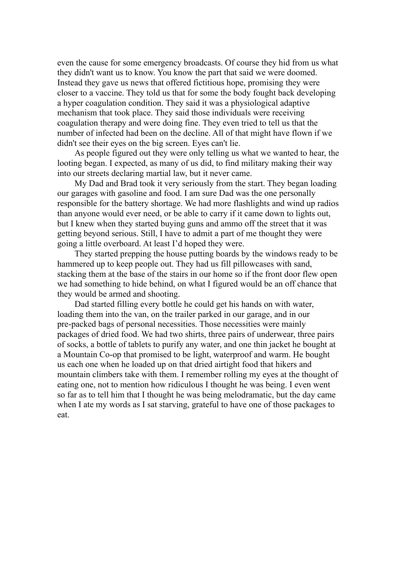even the cause for some emergency broadcasts. Of course they hid from us what they didn't want us to know. You know the part that said we were doomed. Instead they gave us news that offered fictitious hope, promising they were closer to a vaccine. They told us that for some the body fought back developing a hyper coagulation condition. They said it was a physiological adaptive mechanism that took place. They said those individuals were receiving coagulation therapy and were doing fine. They even tried to tell us that the number of infected had been on the decline. All of that might have flown if we didn't see their eyes on the big screen. Eyes can't lie.

As people figured out they were only telling us what we wanted to hear, the looting began. I expected, as many of us did, to find military making their way into our streets declaring martial law, but it never came.

My Dad and Brad took it very seriously from the start. They began loading our garages with gasoline and food. I am sure Dad was the one personally responsible for the battery shortage. We had more flashlights and wind up radios than anyone would ever need, or be able to carry if it came down to lights out, but I knew when they started buying guns and ammo off the street that it was getting beyond serious. Still, I have to admit a part of me thought they were going a little overboard. At least I'd hoped they were.

They started prepping the house putting boards by the windows ready to be hammered up to keep people out. They had us fill pillowcases with sand, stacking them at the base of the stairs in our home so if the front door flew open we had something to hide behind, on what I figured would be an off chance that they would be armed and shooting.

Dad started filling every bottle he could get his hands on with water, loading them into the van, on the trailer parked in our garage, and in our pre-packed bags of personal necessities. Those necessities were mainly packages of dried food. We had two shirts, three pairs of underwear, three pairs of socks, a bottle of tablets to purify any water, and one thin jacket he bought at a Mountain Co-op that promised to be light, waterproof and warm. He bought us each one when he loaded up on that dried airtight food that hikers and mountain climbers take with them. I remember rolling my eyes at the thought of eating one, not to mention how ridiculous I thought he was being. I even went so far as to tell him that I thought he was being melodramatic, but the day came when I ate my words as I sat starving, grateful to have one of those packages to eat.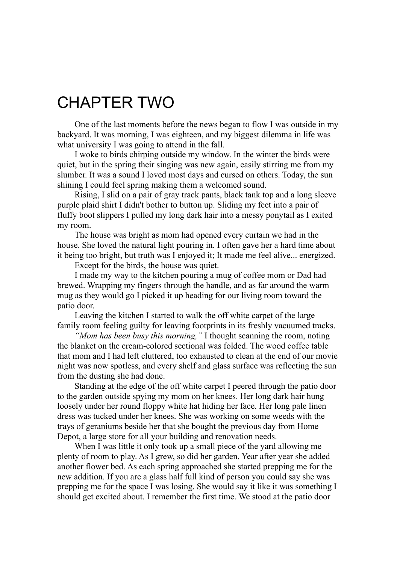## CHAPTER TWO

One of the last moments before the news began to flow I was outside in my backyard. It was morning, I was eighteen, and my biggest dilemma in life was what university I was going to attend in the fall.

I woke to birds chirping outside my window. In the winter the birds were quiet, but in the spring their singing was new again, easily stirring me from my slumber. It was a sound I loved most days and cursed on others. Today, the sun shining I could feel spring making them a welcomed sound.

Rising, I slid on a pair of gray track pants, black tank top and a long sleeve purple plaid shirt I didn't bother to button up. Sliding my feet into a pair of fluffy boot slippers I pulled my long dark hair into a messy ponytail as I exited my room.

The house was bright as mom had opened every curtain we had in the house. She loved the natural light pouring in. I often gave her a hard time about it being too bright, but truth was I enjoyed it; It made me feel alive... energized.

Except for the birds, the house was quiet.

I made my way to the kitchen pouring a mug of coffee mom or Dad had brewed. Wrapping my fingers through the handle, and as far around the warm mug as they would go I picked it up heading for our living room toward the patio door.

Leaving the kitchen I started to walk the off white carpet of the large family room feeling guilty for leaving footprints in its freshly vacuumed tracks.

*"Mom has been busy this morning,"* I thought scanning the room, noting the blanket on the cream-colored sectional was folded. The wood coffee table that mom and I had left cluttered, too exhausted to clean at the end of our movie night was now spotless, and every shelf and glass surface was reflecting the sun from the dusting she had done.

Standing at the edge of the off white carpet I peered through the patio door to the garden outside spying my mom on her knees. Her long dark hair hung loosely under her round floppy white hat hiding her face. Her long pale linen dress was tucked under her knees. She was working on some weeds with the trays of geraniums beside her that she bought the previous day from Home Depot, a large store for all your building and renovation needs.

When I was little it only took up a small piece of the yard allowing me plenty of room to play. As I grew, so did her garden. Year after year she added another flower bed. As each spring approached she started prepping me for the new addition. If you are a glass half full kind of person you could say she was prepping me for the space I was losing. She would say it like it was something I should get excited about. I remember the first time. We stood at the patio door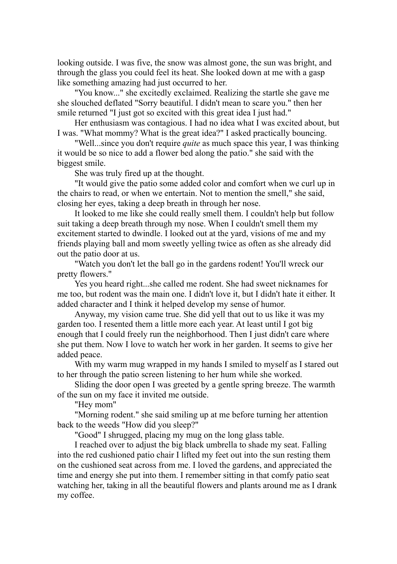looking outside. I was five, the snow was almost gone, the sun was bright, and through the glass you could feel its heat. She looked down at me with a gasp like something amazing had just occurred to her.

"You know..." she excitedly exclaimed. Realizing the startle she gave me she slouched deflated "Sorry beautiful. I didn't mean to scare you." then her smile returned "I just got so excited with this great idea I just had."

Her enthusiasm was contagious. I had no idea what I was excited about, but I was. "What mommy? What is the great idea?" I asked practically bouncing.

"Well...since you don't require *quite* as much space this year, I was thinking it would be so nice to add a flower bed along the patio." she said with the biggest smile.

She was truly fired up at the thought.

"It would give the patio some added color and comfort when we curl up in the chairs to read, or when we entertain. Not to mention the smell," she said, closing her eyes, taking a deep breath in through her nose.

It looked to me like she could really smell them. I couldn't help but follow suit taking a deep breath through my nose. When I couldn't smell them my excitement started to dwindle. I looked out at the yard, visions of me and my friends playing ball and mom sweetly yelling twice as often as she already did out the patio door at us.

"Watch you don't let the ball go in the gardens rodent! You'll wreck our pretty flowers."

Yes you heard right...she called me rodent. She had sweet nicknames for me too, but rodent was the main one. I didn't love it, but I didn't hate it either. It added character and I think it helped develop my sense of humor.

Anyway, my vision came true. She did yell that out to us like it was my garden too. I resented them a little more each year. At least until I got big enough that I could freely run the neighborhood. Then I just didn't care where she put them. Now I love to watch her work in her garden. It seems to give her added peace.

With my warm mug wrapped in my hands I smiled to myself as I stared out to her through the patio screen listening to her hum while she worked.

Sliding the door open I was greeted by a gentle spring breeze. The warmth of the sun on my face it invited me outside.

"Hey mom"

"Morning rodent." she said smiling up at me before turning her attention back to the weeds "How did you sleep?"

"Good" I shrugged, placing my mug on the long glass table.

I reached over to adjust the big black umbrella to shade my seat. Falling into the red cushioned patio chair I lifted my feet out into the sun resting them on the cushioned seat across from me. I loved the gardens, and appreciated the time and energy she put into them. I remember sitting in that comfy patio seat watching her, taking in all the beautiful flowers and plants around me as I drank my coffee.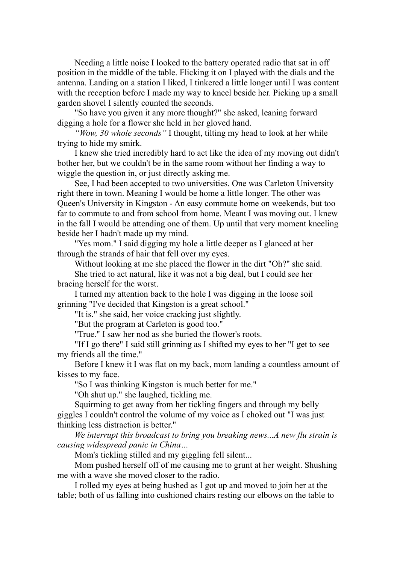Needing a little noise I looked to the battery operated radio that sat in off position in the middle of the table. Flicking it on I played with the dials and the antenna. Landing on a station I liked, I tinkered a little longer until I was content with the reception before I made my way to kneel beside her. Picking up a small garden shovel I silently counted the seconds.

"So have you given it any more thought?" she asked, leaning forward digging a hole for a flower she held in her gloved hand.

*"Wow, 30 whole seconds"* I thought, tilting my head to look at her while trying to hide my smirk.

I knew she tried incredibly hard to act like the idea of my moving out didn't bother her, but we couldn't be in the same room without her finding a way to wiggle the question in, or just directly asking me.

See, I had been accepted to two universities. One was Carleton University right there in town. Meaning I would be home a little longer. The other was Queen's University in Kingston - An easy commute home on weekends, but too far to commute to and from school from home. Meant I was moving out. I knew in the fall I would be attending one of them. Up until that very moment kneeling beside her I hadn't made up my mind.

"Yes mom." I said digging my hole a little deeper as I glanced at her through the strands of hair that fell over my eyes.

Without looking at me she placed the flower in the dirt "Oh?" she said.

She tried to act natural, like it was not a big deal, but I could see her bracing herself for the worst.

I turned my attention back to the hole I was digging in the loose soil grinning "I've decided that Kingston is a great school."

"It is." she said, her voice cracking just slightly.

"But the program at Carleton is good too."

"True." I saw her nod as she buried the flower's roots.

"If I go there" I said still grinning as I shifted my eyes to her "I get to see my friends all the time."

Before I knew it I was flat on my back, mom landing a countless amount of kisses to my face.

"So I was thinking Kingston is much better for me."

"Oh shut up." she laughed, tickling me.

Squirming to get away from her tickling fingers and through my belly giggles I couldn't control the volume of my voice as I choked out "I was just thinking less distraction is better."

*We interrupt this broadcast to bring you breaking news...A new flu strain is causing widespread panic in China…*

Mom's tickling stilled and my giggling fell silent...

Mom pushed herself off of me causing me to grunt at her weight. Shushing me with a wave she moved closer to the radio.

I rolled my eyes at being hushed as I got up and moved to join her at the table; both of us falling into cushioned chairs resting our elbows on the table to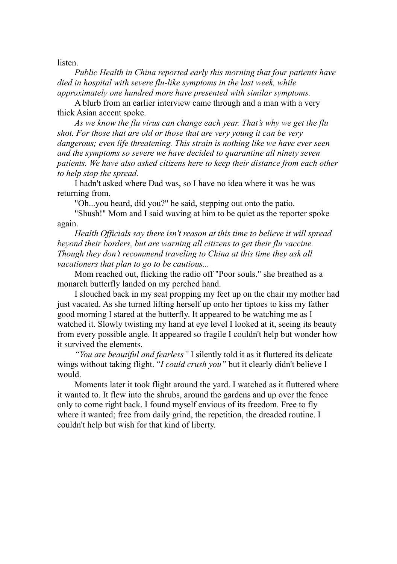listen.

*Public Health in China reported early this morning that four patients have died in hospital with severe flu-like symptoms in the last week, while approximately one hundred more have presented with similar symptoms.*

A blurb from an earlier interview came through and a man with a very thick Asian accent spoke.

*As we know the flu virus can change each year. That's why we get the flu shot. For those that are old or those that are very young it can be very dangerous; even life threatening. This strain is nothing like we have ever seen and the symptoms so severe we have decided to quarantine all ninety seven patients. We have also asked citizens here to keep their distance from each other to help stop the spread.*

I hadn't asked where Dad was, so I have no idea where it was he was returning from.

"Oh...you heard, did you?" he said, stepping out onto the patio.

"Shush!" Mom and I said waving at him to be quiet as the reporter spoke again.

*Health Of icials say there isn't reason at this time to believe it will spread beyond their borders, but are warning all citizens to get their flu vaccine. Though they don't recommend traveling to China at this time they ask all vacationers that plan to go to be cautious...*

Mom reached out, flicking the radio off "Poor souls." she breathed as a monarch butterfly landed on my perched hand.

I slouched back in my seat propping my feet up on the chair my mother had just vacated. As she turned lifting herself up onto her tiptoes to kiss my father good morning I stared at the butterfly. It appeared to be watching me as I watched it. Slowly twisting my hand at eye level I looked at it, seeing its beauty from every possible angle. It appeared so fragile I couldn't help but wonder how it survived the elements.

*"You are beautiful and fearless"* I silently told it as it fluttered its delicate wings without taking flight. "*I could crush you"* but it clearly didn't believe I would.

Moments later it took flight around the yard. I watched as it fluttered where it wanted to. It flew into the shrubs, around the gardens and up over the fence only to come right back. I found myself envious of its freedom. Free to fly where it wanted; free from daily grind, the repetition, the dreaded routine. I couldn't help but wish for that kind of liberty.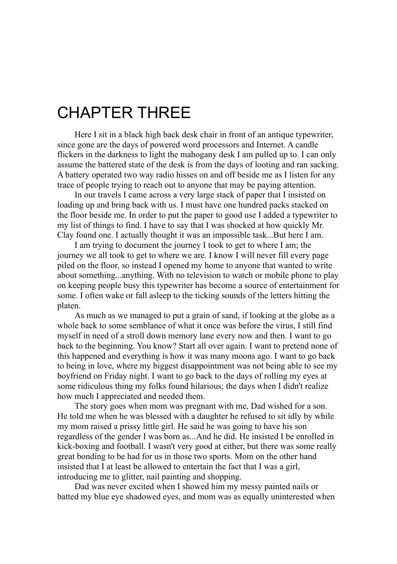## CHAPTER THREE

Here I sit in a black high back desk chair in front of an antique typewriter, since gone are the days of powered word processors and Internet. A candle flickers in the darkness to light the mahogany desk I am pulled up to. I can only assume the battered state of the desk is from the days of looting and ran sacking. A battery operated two way radio hisses on and off beside me as I listen for any trace of people trying to reach out to anyone that may be paying attention.

In our travels I came across a very large stack of paper that I insisted on loading up and bring back with us. I must have one hundred packs stacked on the floor beside me. In order to put the paper to good use I added a typewriter to my list of things to find. I have to say that I was shocked at how quickly Mr. Clay found one. I actually thought it was an impossible task...But here I am.

I am trying to document the journey I took to get to where I am; the journey we all took to get to where we are. I know I will never fill every page piled on the floor, so instead I opened my home to anyone that wanted to write about something...anything. With no television to watch or mobile phone to play on keeping people busy this typewriter has become a source of entertainment for some. I often wake or fall asleep to the ticking sounds of the letters hitting the platen.

As much as we managed to put a grain of sand, if looking at the globe as a whole back to some semblance of what it once was before the virus, I still find myself in need of a stroll down memory lane every now and then. I want to go back to the beginning. You know? Start all over again. I want to pretend none of this happened and everything is how it was many moons ago. I want to go back to being in love, where my biggest disappointment was not being able to see my boyfriend on Friday night. I want to go back to the days of rolling my eyes at some ridiculous thing my folks found hilarious; the days when I didn't realize how much I appreciated and needed them.

The story goes when mom was pregnant with me, Dad wished for a son. He told me when he was blessed with a daughter he refused to sit idly by while my mom raised a prissy little girl. He said he was going to have his son regardless of the gender I was born as...And he did. He insisted I be enrolled in kick-boxing and football. I wasn't very good at either, but there was some really great bonding to be had for us in those two sports. Mom on the other hand insisted that I at least be allowed to entertain the fact that I was a girl, introducing me to glitter, nail painting and shopping.

Dad was never excited when I showed him my messy painted nails or batted my blue eye shadowed eyes, and mom was as equally uninterested when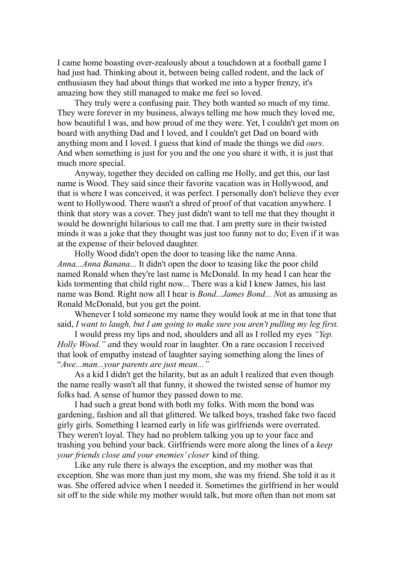I came home boasting over-zealously about a touchdown at a football game I had just had. Thinking about it, between being called rodent, and the lack of enthusiasm they had about things that worked me into a hyper frenzy, it's amazing how they still managed to make me feel so loved.

They truly were a confusing pair. They both wanted so much of my time. They were forever in my business, always telling me how much they loved me, how beautiful I was, and how proud of me they were. Yet, I couldn't get mom on board with anything Dad and I loved, and I couldn't get Dad on board with anything mom and I loved. I guess that kind of made the things we did *ours*. And when something is just for you and the one you share it with, it is just that much more special.

Anyway, together they decided on calling me Holly, and get this, our last name is Wood. They said since their favorite vacation was in Hollywood, and that is where I was conceived, it was perfect. I personally don't believe they ever went to Hollywood. There wasn't a shred of proof of that vacation anywhere. I think that story was a cover. They just didn't want to tell me that they thought it would be downright hilarious to call me that. I am pretty sure in their twisted minds it was a joke that they thought was just too funny not to do; Even if it was at the expense of their beloved daughter.

Holly Wood didn't open the door to teasing like the name Anna. *Anna...Anna Banana...* It didn't open the door to teasing like the poor child named Ronald when they're last name is McDonald. In my head I can hear the kids tormenting that child right now... There was a kid I knew James, his last name was Bond. Right now all I hear is *Bond...James Bond... N*ot as amusing as Ronald McDonald, but you get the point.

Whenever I told someone my name they would look at me in that tone that said, *I want to laugh, but I am going to make sure you aren't pulling my leg first.*

I would press my lips and nod, shoulders and all as I rolled my eyes *"Yep. Holly Wood." a*nd they would roar in laughter. On a rare occasion I received that look of empathy instead of laughter saying something along the lines of "*Awe...man...your parents are just mean..."*

As a kid I didn't get the hilarity, but as an adult I realized that even though the name really wasn't all that funny, it showed the twisted sense of humor my folks had. A sense of humor they passed down to me.

I had such a great bond with both my folks. With mom the bond was gardening, fashion and all that glittered. We talked boys, trashed fake two faced girly girls. Something I learned early in life was girlfriends were overrated. They weren't loyal. They had no problem talking you up to your face and trashing you behind your back. Girlfriends were more along the lines of a *keep your friends close and your enemies' closer* kind of thing.

Like any rule there is always the exception, and my mother was that exception. She was more than just my mom, she was my friend. She told it as it was. She offered advice when I needed it. Sometimes the girlfriend in her would sit off to the side while my mother would talk, but more often than not mom sat